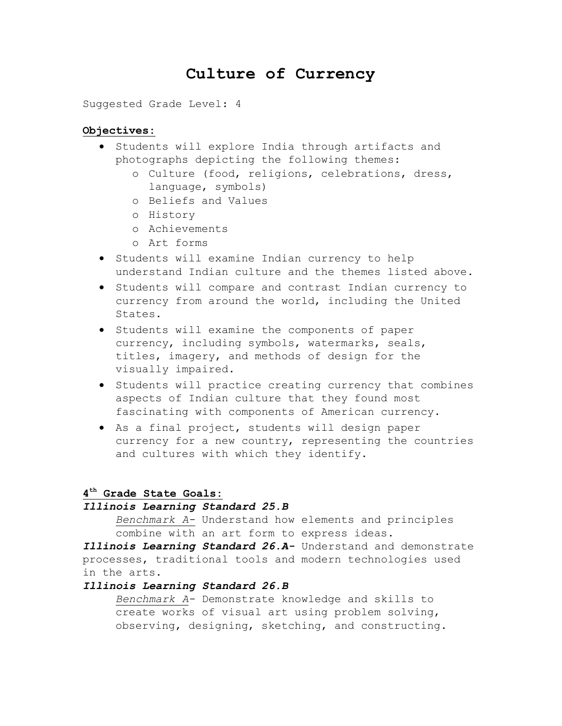# **Culture of Currency**

Suggested Grade Level: 4

#### **Objectives:**

- **•** Students will explore India through artifacts and photographs depicting the following themes:
	- o Culture (food, religions, celebrations, dress, language, symbols)
	- o Beliefs and Values
	- o History
	- o Achievements
	- o Art forms
- **•** Students will examine Indian currency to help understand Indian culture and the themes listed above.
- Students will compare and contrast Indian currency to currency from around the world, including the United States.
- Students will examine the components of paper currency, including symbols, watermarks, seals, titles, imagery, and methods of design for the visually impaired.
- **•** Students will practice creating currency that combines aspects of Indian culture that they found most fascinating with components of American currency.
- As a final project, students will design paper currency for a new country, representing the countries and cultures with which they identify.

## **4 th Grade State Goals:**

#### *Illinois Learning Standard 25.B*

*Benchmark A-* Understand how elements and principles combine with an art form to express ideas.

*Illinois Learning Standard 26.A-* Understand and demonstrate processes, traditional tools and modern technologies used in the arts.

#### *Illinois Learning Standard 26.B*

*Benchmark A-* Demonstrate knowledge and skills to create works of visual art using problem solving, observing, designing, sketching, and constructing.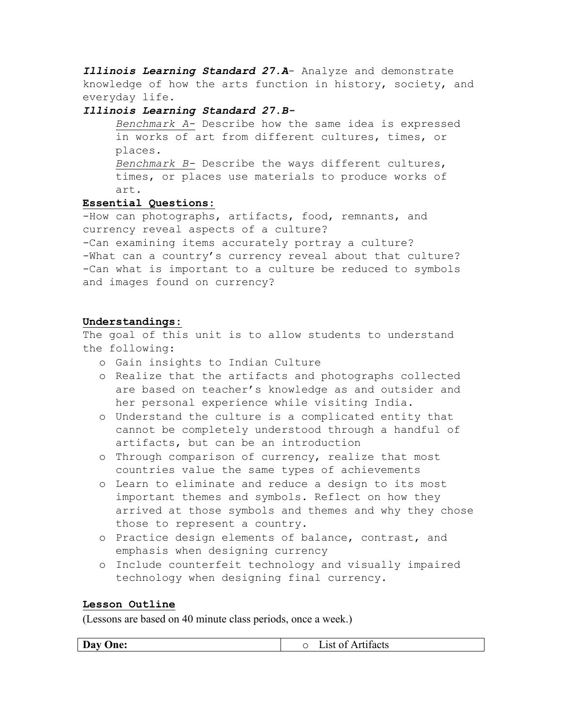*Illinois Learning Standard 27.A*- Analyze and demonstrate knowledge of how the arts function in history, society, and everyday life.

#### *Illinois Learning Standard 27.B-*

*Benchmark A-* Describe how the same idea is expressed in works of art from different cultures, times, or places.

*Benchmark B-* Describe the ways different cultures, times, or places use materials to produce works of art.

# **Essential Questions:**

-How can photographs, artifacts, food, remnants, and currency reveal aspects of a culture? -Can examining items accurately portray a culture? -What can a country's currency reveal about that culture? -Can what is important to a culture be reduced to symbols and images found on currency?

### **Understandings:**

The goal of this unit is to allow students to understand the following:

- o Gain insights to Indian Culture
- o Realize that the artifacts and photographs collected are based on teacher's knowledge as and outsider and her personal experience while visiting India.
- o Understand the culture is a complicated entity that cannot be completely understood through a handful of artifacts, but can be an introduction
- o Through comparison of currency, realize that most countries value the same types of achievements
- o Learn to eliminate and reduce a design to its most important themes and symbols. Reflect on how they arrived at those symbols and themes and why they chose those to represent a country.
- o Practice design elements of balance, contrast, and emphasis when designing currency
- o Include counterfeit technology and visually impaired technology when designing final currency.

# **Lesson Outline**

(Lessons are based on 40 minute class periods, once a week.)

**Day One:**  $\qquad \qquad \qquad$  **Day One:**  $\qquad \qquad \qquad$  **C** List of Artifacts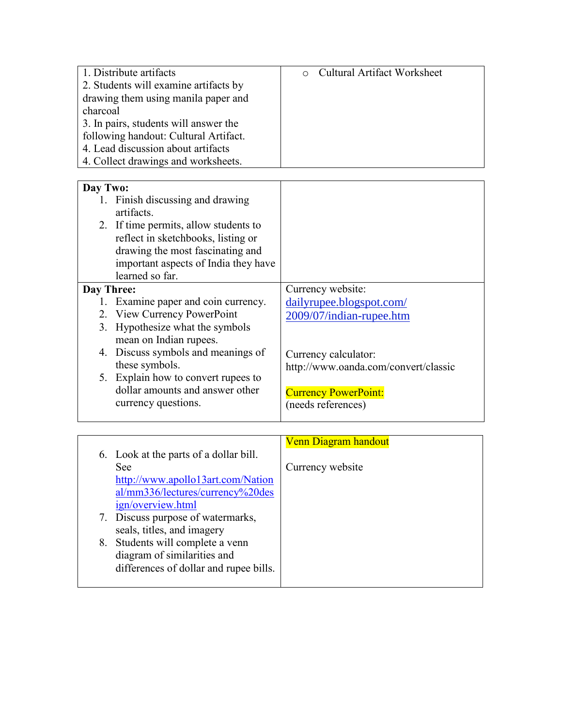| 1. Distribute artifacts               | <b>Cultural Artifact Worksheet</b><br>$\circ$ |
|---------------------------------------|-----------------------------------------------|
| 2. Students will examine artifacts by |                                               |
| drawing them using manila paper and   |                                               |
| charcoal                              |                                               |
| 3. In pairs, students will answer the |                                               |
| following handout: Cultural Artifact. |                                               |
| 4. Lead discussion about artifacts    |                                               |
| 4. Collect drawings and worksheets.   |                                               |
|                                       |                                               |
| Day Two:                              |                                               |
| 1. Finish discussing and drawing      |                                               |
| artifacts.                            |                                               |
| 2. If time permits, allow students to |                                               |
| reflect in sketchbooks, listing or    |                                               |
| drawing the most fascinating and      |                                               |
| important aspects of India they have  |                                               |
| learned so far.                       |                                               |
| Day Three:                            | Currency website:                             |
| 1. Examine paper and coin currency.   | dailyrupee.blogspot.com/                      |
| 2. View Currency PowerPoint           | 2009/07/indian-rupee.htm                      |
| Hypothesize what the symbols<br>3.    |                                               |
| mean on Indian rupees.                |                                               |
| 4. Discuss symbols and meanings of    | Currency calculator:                          |
| these symbols.                        | http://www.oanda.com/convert/classic          |
| 5. Explain how to convert rupees to   |                                               |
| dollar amounts and answer other       | <b>Currency PowerPoint:</b>                   |
| currency questions.                   | (needs references)                            |

| her | <b>Currency PowerPoint:</b> |
|-----|-----------------------------|
|     | (needs references)          |

| 6. Look at the parts of a dollar bill.<br><b>See</b>                                                      | <b>Venn Diagram handout</b><br>Currency website |
|-----------------------------------------------------------------------------------------------------------|-------------------------------------------------|
| http://www.apollo13art.com/Nation<br>al/mm336/lectures/currency%20des<br>ign/overview.html                |                                                 |
| 7. Discuss purpose of watermarks,<br>seals, titles, and imagery                                           |                                                 |
| 8. Students will complete a venn<br>diagram of similarities and<br>differences of dollar and rupee bills. |                                                 |